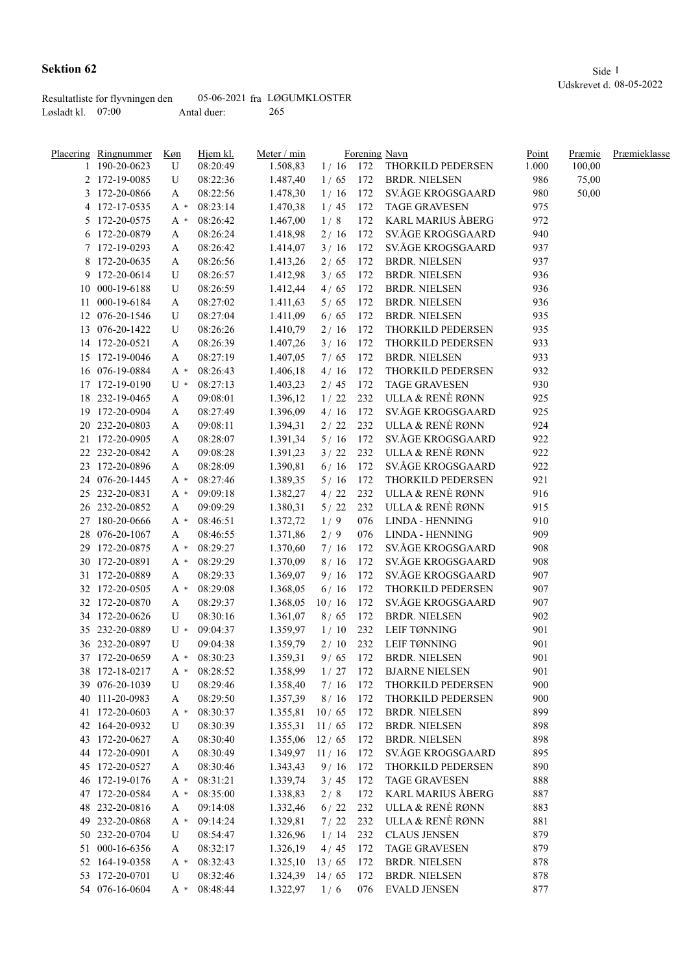|                     | Resultatliste for flyvningen den |             | 05-06-2021 fra LØGUMKLOSTER |
|---------------------|----------------------------------|-------------|-----------------------------|
| Løsladt kl. $07:00$ |                                  | Antal duer: | 265                         |

|    | Placering Ringnummer | Køn   | Hjem kl. | Meter / min      |            | Forening Navn |                          | Point | Præmie | Præmieklasse |
|----|----------------------|-------|----------|------------------|------------|---------------|--------------------------|-------|--------|--------------|
|    | 190-20-0623          | U     | 08:20:49 | 1.508,83         | $1/16$ 172 |               | THORKILD PEDERSEN        | 1.000 | 100,00 |              |
|    | 2 172-19-0085        | U     | 08:22:36 | 1.487,40         | 1/65       | 172           | <b>BRDR. NIELSEN</b>     | 986   | 75,00  |              |
|    | 3 172-20-0866        | A     | 08:22:56 | 1.478,30         | 1/16       | 172           | SV.ÅGE KROGSGAARD        | 980   | 50,00  |              |
|    | 4 172-17-0535        | A *   | 08:23:14 | 1.470,38         | 1/45       | 172           | <b>TAGE GRAVESEN</b>     | 975   |        |              |
|    | 5 172-20-0575        | A *   | 08:26:42 | 1.467,00         | 1/8        | 172           | <b>KARL MARIUS ÅBERG</b> | 972   |        |              |
|    | 6 172-20-0879        | A     | 08:26:24 | 1.418,98         | 2/16       | 172           | SV.ÅGE KROGSGAARD        | 940   |        |              |
|    | 7 172-19-0293        | A     | 08:26:42 | 1.414,07         | 3/16       | 172           | SV.ÅGE KROGSGAARD        | 937   |        |              |
|    | 8 172-20-0635        | A     | 08:26:56 | 1.413,26         | 2/65       | 172           | <b>BRDR. NIELSEN</b>     | 937   |        |              |
|    | 9 172-20-0614        | U     | 08:26:57 | 1.412,98         | 3/65       | 172           | <b>BRDR. NIELSEN</b>     | 936   |        |              |
| 10 | 000-19-6188          | U     | 08:26:59 | 1.412,44         | 4/65       | 172           | <b>BRDR. NIELSEN</b>     | 936   |        |              |
| 11 | 000-19-6184          | A     | 08:27:02 | 1.411,63         | 5/65       | 172           | <b>BRDR. NIELSEN</b>     | 936   |        |              |
|    | 12 076-20-1546       | U     | 08:27:04 | 1.411,09         | 6/65       | 172           | <b>BRDR. NIELSEN</b>     | 935   |        |              |
|    | 13 076-20-1422       | U     | 08:26:26 | 1.410,79         | 2/16       | 172           | THORKILD PEDERSEN        | 935   |        |              |
|    | 14 172-20-0521       | A     | 08:26:39 | 1.407,26         | 3/16       | 172           | THORKILD PEDERSEN        | 933   |        |              |
| 15 | 172-19-0046          | A     | 08:27:19 | 1.407,05         | 7/65       | 172           | <b>BRDR. NIELSEN</b>     | 933   |        |              |
|    | 16 076-19-0884       | A *   | 08:26:43 | 1.406,18         | 4/16       | 172           | THORKILD PEDERSEN        | 932   |        |              |
|    | 172-19-0190          | $U^*$ | 08:27:13 |                  |            | 172           | <b>TAGE GRAVESEN</b>     | 930   |        |              |
| 17 |                      |       |          | 1.403,23         | 2/45       | 232           | ULLA & RENÈ RØNN         | 925   |        |              |
| 18 | 232-19-0465          | A     | 09:08:01 | 1.396,12         | 1/22       |               |                          |       |        |              |
| 19 | 172-20-0904          | A     | 08:27:49 | 1.396,09         | 4/16       | 172           | SV.ÅGE KROGSGAARD        | 925   |        |              |
| 20 | 232-20-0803          | A     | 09:08:11 | 1.394,31         | 2/22       | 232           | ULLA & RENÈ RØNN         | 924   |        |              |
|    | 21 172-20-0905       | A     | 08:28:07 | 1.391,34         | 5/16       | 172           | SV.ÅGE KROGSGAARD        | 922   |        |              |
|    | 22 232-20-0842       | A     | 09:08:28 | 1.391,23         | 3/22       | 232           | ULLA & RENÈ RØNN         | 922   |        |              |
|    | 23 172-20-0896       | A     | 08:28:09 | 1.390,81         | 6/16       | 172           | SV.ÅGE KROGSGAARD        | 922   |        |              |
|    | 24 076-20-1445       | A *   | 08:27:46 | 1.389,35         | $5/16$     | 172           | THORKILD PEDERSEN        | 921   |        |              |
|    | 25 232-20-0831       | A *   | 09:09:18 | 1.382,27         | 4/22       | 232           | ULLA & RENÈ RØNN         | 916   |        |              |
|    | 26 232-20-0852       | A     | 09:09:29 | 1.380,31         | $5/22$     | 232           | ULLA & RENÈ RØNN         | 915   |        |              |
| 27 | 180-20-0666          | A *   | 08:46:51 | 1.372,72         | 1/9        | 076           | LINDA - HENNING          | 910   |        |              |
| 28 | 076-20-1067          | A     | 08:46:55 | 1.371,86         | 2/9        | 076           | <b>LINDA - HENNING</b>   | 909   |        |              |
| 29 | 172-20-0875          | A *   | 08:29:27 | 1.370,60         | 7/16       | 172           | SV.ÅGE KROGSGAARD        | 908   |        |              |
|    | 30 172-20-0891       | A *   | 08:29:29 | 1.370,09         | 8/16       | 172           | SV.ÅGE KROGSGAARD        | 908   |        |              |
|    | 31 172-20-0889       | A     | 08:29:33 | 1.369,07         | 9/16       | 172           | SV.ÅGE KROGSGAARD        | 907   |        |              |
|    | 32 172-20-0505       | A *   | 08:29:08 | 1.368,05         | 6/16       | 172           | THORKILD PEDERSEN        | 907   |        |              |
|    | 32 172-20-0870       | A     | 08:29:37 | 1.368,05         | 10/16      | 172           | SV.ÅGE KROGSGAARD        | 907   |        |              |
|    | 34 172-20-0626       | U     | 08:30:16 | 1.361,07         | 8/65       | 172           | <b>BRDR. NIELSEN</b>     | 902   |        |              |
|    | 35 232-20-0889       | $U^*$ | 09:04:37 | 1.359,97         | 1/10       | 232           | LEIF TØNNING             | 901   |        |              |
|    | 36 232-20-0897       | U     | 09:04:38 | 1.359,79         | 2/10       | 232           | LEIF TØNNING             | 901   |        |              |
|    | 37 172-20-0659       | A *   | 08:30:23 | 1.359,31         | 9/65       | 172           | <b>BRDR. NIELSEN</b>     | 901   |        |              |
|    | 38 172-18-0217       | A *   | 08:28:52 | 1.358,99         | 1/27       | 172           | <b>BJARNE NIELSEN</b>    | 901   |        |              |
|    | 39 076-20-1039       | U     | 08:29:46 | 1.358,40         | 7/16       | 172           | THORKILD PEDERSEN        | 900   |        |              |
|    | 40 111-20-0983       | A     | 08:29:50 | 1.357,39         | 8/16       | 172           | THORKILD PEDERSEN        | 900   |        |              |
|    | 41 172-20-0603       | A *   | 08:30:37 | 1.355,81         | 10/65      | 172           | <b>BRDR. NIELSEN</b>     | 899   |        |              |
|    | 42 164-20-0932       | U     | 08:30:39 | 1.355,31         | 11/65      | 172           | <b>BRDR. NIELSEN</b>     | 898   |        |              |
|    | 43 172-20-0627       | A     | 08:30:40 | 1.355,06         | 12/65      | 172           | <b>BRDR. NIELSEN</b>     | 898   |        |              |
|    | 44 172-20-0901       | A     | 08:30:49 | 1.349,97         | 11/16      | 172           | SV.ÅGE KROGSGAARD        | 895   |        |              |
|    | 45 172-20-0527       | A     | 08:30:46 | 1.343,43         | 9/16       | 172           | THORKILD PEDERSEN        | 890   |        |              |
|    | 46 172-19-0176       | A *   | 08:31:21 | 1.339,74         | 3/45       | 172           | <b>TAGE GRAVESEN</b>     | 888   |        |              |
|    | 47 172-20-0584       | A *   | 08:35:00 | 1.338,83         | 2/8        | 172           | <b>KARL MARIUS ÅBERG</b> | 887   |        |              |
|    | 48 232-20-0816       |       | 09:14:08 | 1.332,46         | $6/22$     | 232           | ULLA & RENÈ RØNN         | 883   |        |              |
|    |                      | A     |          |                  |            |               | ULLA & RENÈ RØNN         | 881   |        |              |
|    | 49 232-20-0868       | A *   | 09:14:24 | 1.329,81         | 7/22       | 232           |                          |       |        |              |
|    | 50 232-20-0704       | U     | 08:54:47 | 1.326,96         | 1/14       | 232           | <b>CLAUS JENSEN</b>      | 879   |        |              |
|    | 51 000-16-6356       | A     | 08:32:17 | 1.326,19         | 4/45       | 172           | <b>TAGE GRAVESEN</b>     | 879   |        |              |
|    | 52 164-19-0358       | A *   | 08:32:43 | 1.325,10         | 13/65      | 172           | <b>BRDR. NIELSEN</b>     | 878   |        |              |
|    | 53 172-20-0701       | U     | 08:32:46 | $1.324,39$ 14/65 |            | 172           | <b>BRDR. NIELSEN</b>     | 878   |        |              |
|    | 54 076-16-0604       | A *   | 08:48:44 | 1.322,97         | 1/6        | 076           | <b>EVALD JENSEN</b>      | 877   |        |              |